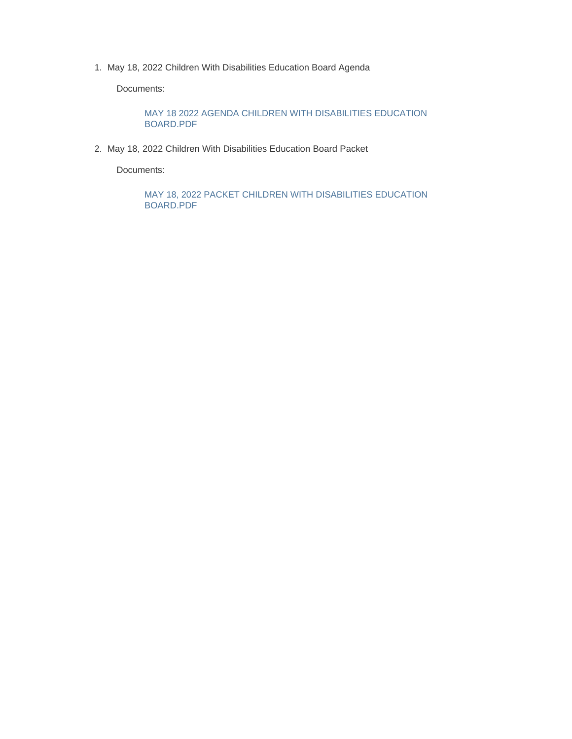1. May 18, 2022 Children With Disabilities Education Board Agenda

Documents:

MAY 18 2022 AGENDA CHILDREN WITH DISABILITIES EDUCATION BOARD.PDF

May 18, 2022 Children With Disabilities Education Board Packet 2.

Documents:

MAY 18, 2022 PACKET CHILDREN WITH DISABILITIES EDUCATION BOARD.PDF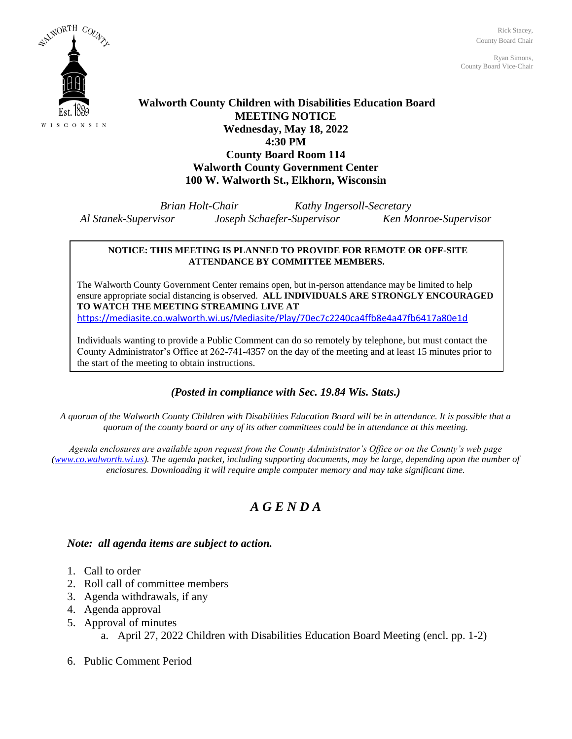Rick Stacey, County Board Chair

Ryan Simons, County Board Vice-Chair



### **Walworth County Children with Disabilities Education Board MEETING NOTICE Wednesday, May 18, 2022 4:30 PM County Board Room 114 Walworth County Government Center 100 W. Walworth St., Elkhorn, Wisconsin**

*Brian Holt-Chair Kathy Ingersoll-Secretary Al Stanek-Supervisor Joseph Schaefer-Supervisor Ken Monroe-Supervisor*

#### **NOTICE: THIS MEETING IS PLANNED TO PROVIDE FOR REMOTE OR OFF-SITE ATTENDANCE BY COMMITTEE MEMBERS.**

The Walworth County Government Center remains open, but in-person attendance may be limited to help ensure appropriate social distancing is observed. **ALL INDIVIDUALS ARE STRONGLY ENCOURAGED TO WATCH THE MEETING STREAMING LIVE AT** <https://mediasite.co.walworth.wi.us/Mediasite/Play/70ec7c2240ca4ffb8e4a47fb6417a80e1d>

Individuals wanting to provide a Public Comment can do so remotely by telephone, but must contact the County Administrator's Office at 262-741-4357 on the day of the meeting and at least 15 minutes prior to the start of the meeting to obtain instructions.

### *(Posted in compliance with Sec. 19.84 Wis. Stats.)*

*A quorum of the Walworth County Children with Disabilities Education Board will be in attendance. It is possible that a quorum of the county board or any of its other committees could be in attendance at this meeting.*

*Agenda enclosures are available upon request from the County Administrator's Office or on the County's web page [\(www.co.walworth.wi.us\)](http://www.co.walworth.wi.us/). The agenda packet, including supporting documents, may be large, depending upon the number of enclosures. Downloading it will require ample computer memory and may take significant time.*

## *A G E N D A*

### *Note: all agenda items are subject to action.*

- 1. Call to order
- 2. Roll call of committee members
- 3. Agenda withdrawals, if any
- 4. Agenda approval
- 5. Approval of minutes
	- a. April 27, 2022 Children with Disabilities Education Board Meeting (encl. pp. 1-2)
- 6. Public Comment Period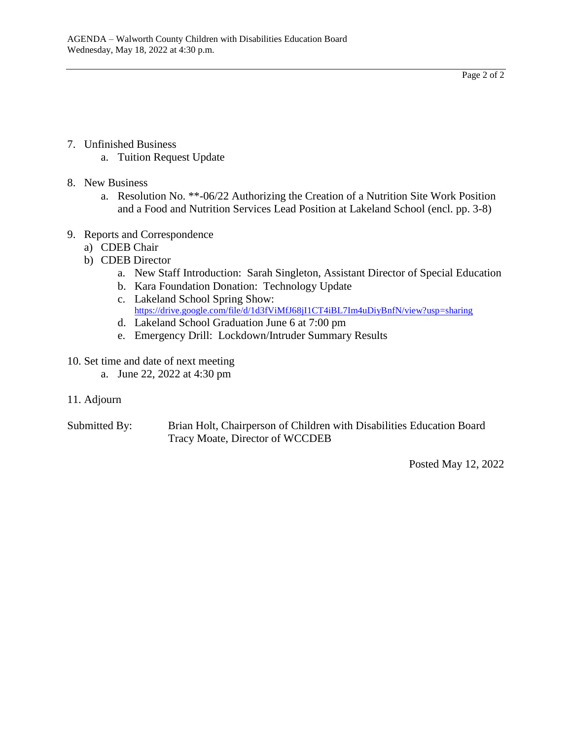Page 2 of 2

- 7. Unfinished Business
	- a. Tuition Request Update
- 8. New Business
	- a. Resolution No. \*\*-06/22 Authorizing the Creation of a Nutrition Site Work Position and a Food and Nutrition Services Lead Position at Lakeland School (encl. pp. 3-8)
- 9. Reports and Correspondence
	- a) CDEB Chair
	- b) CDEB Director
		- a. New Staff Introduction: Sarah Singleton, Assistant Director of Special Education
		- b. Kara Foundation Donation: Technology Update
		- c. Lakeland School Spring Show: <https://drive.google.com/file/d/1d3fViMfJ68jI1CT4iBL7Im4uDiyBnfN/view?usp=sharing>
		- d. Lakeland School Graduation June 6 at 7:00 pm
		- e. Emergency Drill: Lockdown/Intruder Summary Results
- 10. Set time and date of next meeting
	- a. June 22, 2022 at 4:30 pm
- 11. Adjourn

Submitted By: Brian Holt, Chairperson of Children with Disabilities Education Board Tracy Moate, Director of WCCDEB

Posted May 12, 2022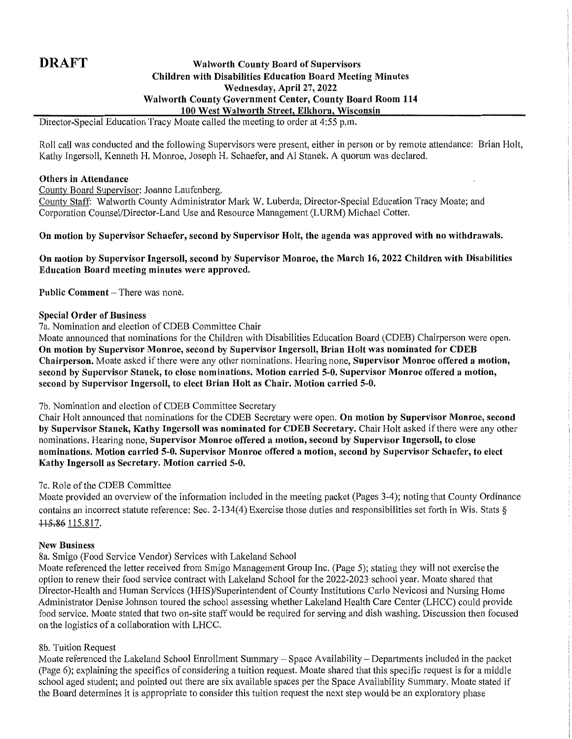### **DRAFT**

#### **Walworth County Board of Supervisors Children with Disabilities Education Board Meeting Minutes** Wednesday, April 27, 2022 Walworth County Government Center, County Board Room 114 100 West Walworth Street, Elkhorn, Wisconsin

Director-Special Education Tracy Moate called the meeting to order at 4:55 p.m.

Roll call was conducted and the following Supervisors were present, either in person or by remote attendance: Brian Holt, Kathy Ingersoll, Kenneth H. Monroe, Joseph H. Schaefer, and Al Stanek, A quorum was declared.

#### **Others in Attendance**

County Board Supervisor: Joanne Laufenberg.

County Staff: Walworth County Administrator Mark W. Luberda; Director-Special Education Tracy Moate; and Corporation Counsel/Director-Land Use and Resource Management (LURM) Michael Cotter.

#### On motion by Supervisor Schaefer, second by Supervisor Holt, the agenda was approved with no withdrawals.

On motion by Supervisor Ingersoll, second by Supervisor Monroe, the March 16, 2022 Children with Disabilities Education Board meeting minutes were approved.

Public Comment - There was none.

#### **Special Order of Business**

7a. Nomination and election of CDEB Committee Chair

Moate announced that nominations for the Children with Disabilities Education Board (CDEB) Chairperson were open. On motion by Supervisor Monroe, second by Supervisor Ingersoll, Brian Holt was nominated for CDEB Chairperson. Moate asked if there were any other nominations. Hearing none, Supervisor Monroe offered a motion, second by Supervisor Stanek, to close nominations. Motion carried 5-0, Supervisor Monroe offered a motion, second by Supervisor Ingersoll, to elect Brian Holt as Chair. Motion carried 5-0.

7b. Nomination and election of CDEB Committee Secretary

Chair Holt announced that nominations for the CDEB Secretary were open. On motion by Supervisor Monroe, second by Supervisor Stanek, Kathy Ingersoll was nominated for CDEB Secretary. Chair Holt asked if there were any other nominations. Hearing none, Supervisor Monroe offered a motion, second by Supervisor Ingersoll, to close nominations. Motion carried 5-0. Supervisor Monroe offered a motion, second by Supervisor Schaefer, to elect Kathy Ingersoll as Secretary. Motion carried 5-0.

#### 7c. Role of the CDEB Committee

Moate provided an overview of the information included in the meeting packet (Pages 3-4); noting that County Ordinance contains an incorrect statute reference: Sec. 2-134(4) Exercise those duties and responsibilities set forth in Wis. Stats § 115.86 115.817.

#### **New Business**

#### 8a. Smigo (Food Service Vendor) Services with Lakeland School

Moate referenced the letter received from Smigo Management Group Inc. (Page 5); stating they will not exercise the option to renew their food service contract with Lakeland School for the 2022-2023 school year. Moate shared that Director-Health and Human Services (HHS)/Superintendent of County Institutions Carlo Nevicosi and Nursing Home Administrator Denise Johnson toured the school assessing whether Lakeland Health Care Center (LHCC) could provide food service. Moate stated that two on-site staff would be required for serving and dish washing. Discussion then focused on the logistics of a collaboration with LHCC.

#### 8b. Tuition Request

Moate referenced the Lakeland School Enrollment Summary – Space Availability – Departments included in the packet (Page 6); explaining the specifics of considering a tuition request. Moate shared that this specific request is for a middle school aged student; and pointed out there are six available spaces per the Space Availability Summary. Moate stated if the Board determines it is appropriate to consider this tuition request the next step would be an exploratory phase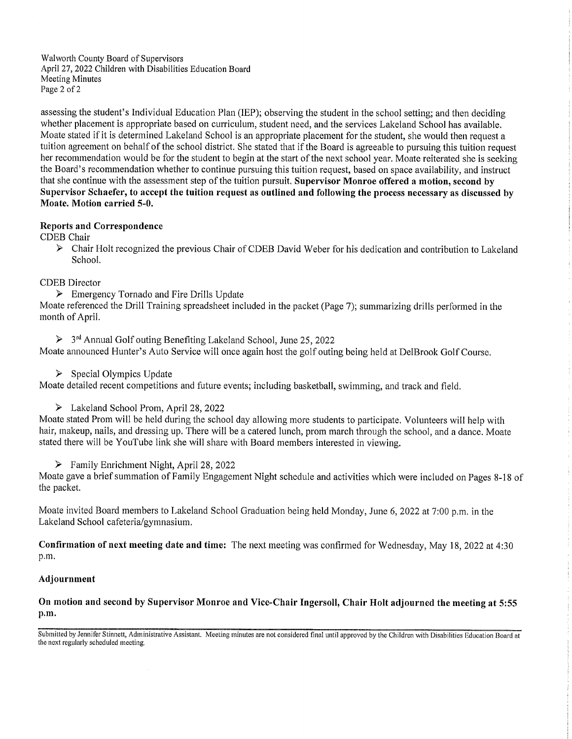Walworth County Board of Supervisors April 27, 2022 Children with Disabilities Education Board Meeting Minutes Page 2 of 2

assessing the student's Individual Education Plan (IEP); observing the student in the school setting; and then deciding whether placement is appropriate based on curriculum, student need, and the services Lakeland School has available. Moate stated if it is determined Lakeland School is an appropriate placement for the student, she would then request a tuition agreement on behalf of the school district. She stated that if the Board is agreeable to pursuing this tuition request her recommendation would be for the student to begin at the start of the next school year. Moate reiterated she is seeking the Board's recommendation whether to continue pursuing this tuition request, based on space availability, and instruct that she continue with the assessment step of the tuition pursuit. Supervisor Monroe offered a motion, second by Supervisor Schaefer, to accept the tuition request as outlined and following the process necessary as discussed by Moate. Motion carried 5-0.

#### **Reports and Correspondence**

**CDEB** Chair

> Chair Holt recognized the previous Chair of CDEB David Weber for his dedication and contribution to Lakeland School.

#### **CDEB** Director

 $\triangleright$  Emergency Tornado and Fire Drills Update

Moate referenced the Drill Training spreadsheet included in the packet (Page 7); summarizing drills performed in the month of April.

 $\triangleright$  3<sup>rd</sup> Annual Golf outing Benefiting Lakeland School, June 25, 2022

Moate announced Hunter's Auto Service will once again host the golf outing being held at DelBrook Golf Course.

 $\triangleright$  Special Olympics Update

Moate detailed recent competitions and future events; including basketball, swimming, and track and field.

> Lakeland School Prom, April 28, 2022

Moate stated Prom will be held during the school day allowing more students to participate. Volunteers will help with hair, makeup, nails, and dressing up. There will be a catered lunch, prom march through the school, and a dance. Moate stated there will be YouTube link she will share with Board members interested in viewing.

#### $\triangleright$  Family Enrichment Night, April 28, 2022

Moate gave a brief summation of Family Engagement Night schedule and activities which were included on Pages 8-18 of the packet.

Moate invited Board members to Lakeland School Graduation being held Monday, June 6, 2022 at 7:00 p.m. in the Lakeland School cafeteria/gymnasium.

Confirmation of next meeting date and time: The next meeting was confirmed for Wednesday, May 18, 2022 at 4:30 p.m.

#### Adjournment

On motion and second by Supervisor Monroe and Vice-Chair Ingersoll, Chair Holt adiourned the meeting at 5:55 p.m.

Submitted by Jennifer Stinnett, Administrative Assistant. Meeting minutes are not considered final until approved by the Children with Disabilities Education Board at the next regularly scheduled meeting.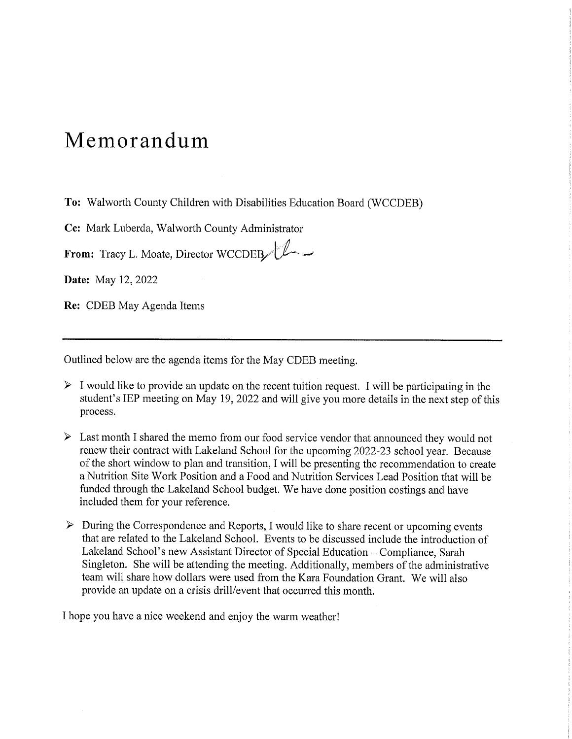# Memorandum

To: Walworth County Children with Disabilities Education Board (WCCDEB)

Cc: Mark Luberda, Walworth County Administrator

From: Tracy L. Moate, Director WCCDEB

Date: May 12, 2022

Re: CDEB May Agenda Items

Outlined below are the agenda items for the May CDEB meeting.

- $\triangleright$  I would like to provide an update on the recent tuition request. I will be participating in the student's IEP meeting on May 19, 2022 and will give you more details in the next step of this process.
- $\triangleright$  Last month I shared the memo from our food service vendor that announced they would not renew their contract with Lakeland School for the upcoming 2022-23 school year. Because of the short window to plan and transition, I will be presenting the recommendation to create a Nutrition Site Work Position and a Food and Nutrition Services Lead Position that will be funded through the Lakeland School budget. We have done position costings and have included them for your reference.
- $\triangleright$  During the Correspondence and Reports, I would like to share recent or upcoming events that are related to the Lakeland School. Events to be discussed include the introduction of Lakeland School's new Assistant Director of Special Education – Compliance, Sarah Singleton. She will be attending the meeting. Additionally, members of the administrative team will share how dollars were used from the Kara Foundation Grant. We will also provide an update on a crisis drill/event that occurred this month.

I hope you have a nice weekend and enjoy the warm weather!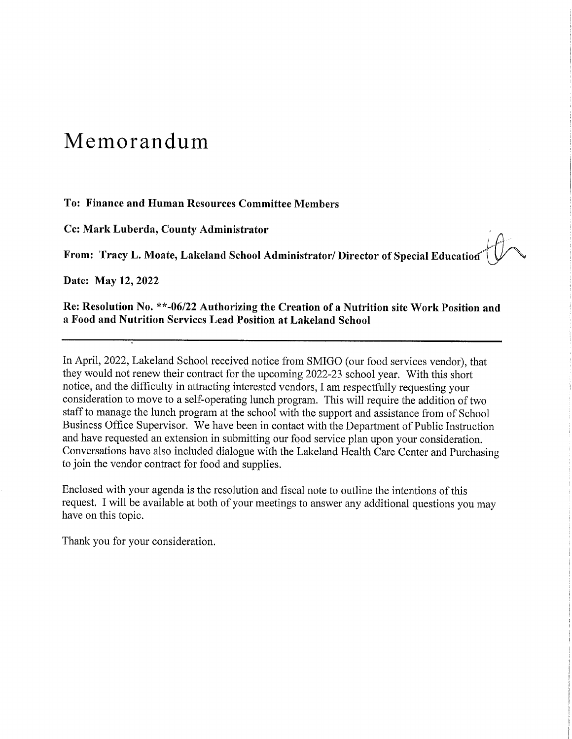# Memorandum

#### To: Finance and Human Resources Committee Members

Cc: Mark Luberda, County Administrator

From: Tracy L. Moate, Lakeland School Administrator/ Director of Special Education

Date: May 12, 2022

Re: Resolution No. \*\*-06/22 Authorizing the Creation of a Nutrition site Work Position and a Food and Nutrition Services Lead Position at Lakeland School

In April, 2022, Lakeland School received notice from SMIGO (our food services vendor), that they would not renew their contract for the upcoming 2022-23 school year. With this short notice, and the difficulty in attracting interested vendors, I am respectfully requesting your consideration to move to a self-operating lunch program. This will require the addition of two staff to manage the lunch program at the school with the support and assistance from of School Business Office Supervisor. We have been in contact with the Department of Public Instruction and have requested an extension in submitting our food service plan upon your consideration. Conversations have also included dialogue with the Lakeland Health Care Center and Purchasing to join the vendor contract for food and supplies.

Enclosed with your agenda is the resolution and fiscal note to outline the intentions of this request. I will be available at both of your meetings to answer any additional questions you may have on this topic.

Thank you for your consideration.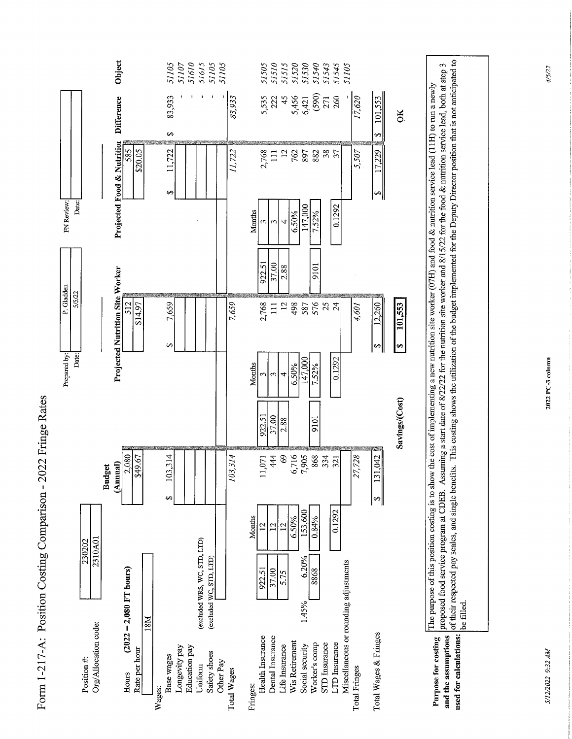

Form 1-217-A: Position Costing Comparison - 2022 Fringe Rates

of their respected pay scales, and single benefits. This costing shows the utilization of the budget implemented for the Deputy Director position that is not anticipated to proposed food service program at CDEB. Assuming a start date of 8/22/22 for the nutrition site worker and 8/15/22 for the food & nutrition service lead, both at step 3 The purpose of this position costing is to show the cost of implementing a new nutrition site worker (07H) and food & nutrition service lead (11H) to run a newly be filled. used for calculations: **Purpose for costing** and the assumptions

S/12/2022 9:32 AM

2022 PC-3 column

4/5/22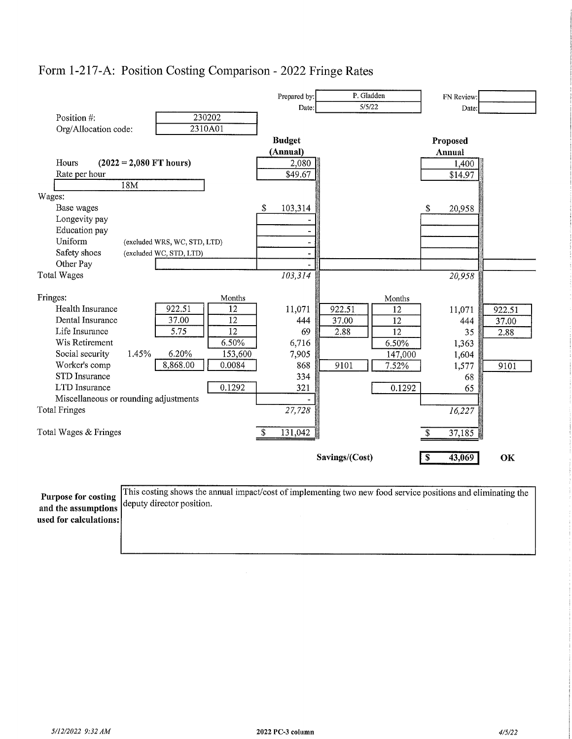

### Form 1-217-A: Position Costing Comparison - 2022 Fringe Rates

**Purpose for costing** and the assumptions used for calculations: This costing shows the annual impact/cost of implementing two new food service positions and eliminating the deputy director position.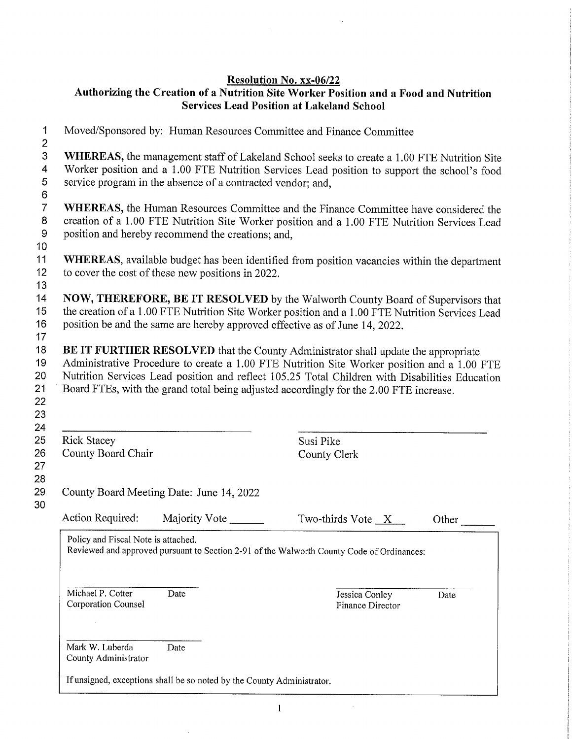$\bar{z}$ 

# Resolution No. xx-06/22<br>Authorizing the Creation of a Nutrition Site Worker Position and a Food and Nutrition **Services Lead Position at Lakeland School**

| Moved/Sponsored by: Human Resources Committee and Finance Committee                                                                                                                                                                                                                                                                                                          |                                    |       |  |
|------------------------------------------------------------------------------------------------------------------------------------------------------------------------------------------------------------------------------------------------------------------------------------------------------------------------------------------------------------------------------|------------------------------------|-------|--|
| WHEREAS, the management staff of Lakeland School seeks to create a 1.00 FTE Nutrition Site<br>Worker position and a 1.00 FTE Nutrition Services Lead position to support the school's food<br>service program in the absence of a contracted vendor; and,                                                                                                                    |                                    |       |  |
| WHEREAS, the Human Resources Committee and the Finance Committee have considered the<br>creation of a 1.00 FTE Nutrition Site Worker position and a 1.00 FTE Nutrition Services Lead<br>position and hereby recommend the creations; and,                                                                                                                                    |                                    |       |  |
| WHEREAS, available budget has been identified from position vacancies within the department<br>to cover the cost of these new positions in 2022.                                                                                                                                                                                                                             |                                    |       |  |
| NOW, THEREFORE, BE IT RESOLVED by the Walworth County Board of Supervisors that<br>the creation of a 1.00 FTE Nutrition Site Worker position and a 1.00 FTE Nutrition Services Lead<br>position be and the same are hereby approved effective as of June 14, 2022.                                                                                                           |                                    |       |  |
| BE IT FURTHER RESOLVED that the County Administrator shall update the appropriate<br>Administrative Procedure to create a 1.00 FTE Nutrition Site Worker position and a 1.00 FTE<br>Nutrition Services Lead position and reflect 105.25 Total Children with Disabilities Education<br>Board FTEs, with the grand total being adjusted accordingly for the 2.00 FTE increase. |                                    |       |  |
|                                                                                                                                                                                                                                                                                                                                                                              |                                    |       |  |
| <b>Rick Stacey</b><br>County Board Chair                                                                                                                                                                                                                                                                                                                                     | Susi Pike<br><b>County Clerk</b>   |       |  |
| County Board Meeting Date: June 14, 2022                                                                                                                                                                                                                                                                                                                                     |                                    |       |  |
| Action Required:<br>Majority Vote                                                                                                                                                                                                                                                                                                                                            | Two-thirds Vote $X$                | Other |  |
| Policy and Fiscal Note is attached.<br>Reviewed and approved pursuant to Section 2-91 of the Walworth County Code of Ordinances:                                                                                                                                                                                                                                             |                                    |       |  |
| Michael P. Cotter<br>Date<br>Corporation Counsel                                                                                                                                                                                                                                                                                                                             | Jessica Conley<br>Finance Director | Date  |  |
| Mark W. Luberda<br>Date<br>County Administrator                                                                                                                                                                                                                                                                                                                              |                                    |       |  |